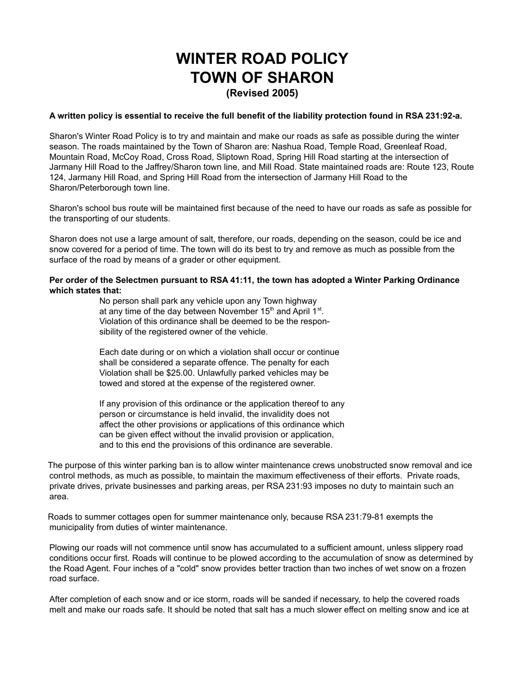## **WINTER ROAD POLICY TOWN OF SHARON (Revised 2005)**

## A written policy is essential to receive the full benefit of the liability protection found in RSA 231:92-a.

Sharon's Winter Road Policy is to try and maintain and make our roads as safe as possible during the winter season. The roads maintained by the Town of Sharon are: Nashua Road, Temple Road, Greenleaf Road, Mountain Road, McCoy Road, Cross Road, Sliptown Road, Spring Hill Road starting at the intersection of Jarmany Hill Road to the Jaffrey/Sharon town line, and Mill Road. State maintained roads are: Route 123, Route 124, Jarmany Hill Road, and Spring Hill Road from the intersection of Jarmany Hill Road to the Sharon/Peterborough town line.

Sharon's school bus route will be maintained first because of the need to have our roads as safe as possible for the transporting of our students.

Sharon does not use a large amount of salt, therefore, our roads, depending on the season, could be ice and snow covered for a period of time. The town will do its best to try and remove as much as possible from the surface of the road by means of a grader or other equipment.

## **Per order of the Selectmen pursuant to RSA 41:11, the town has adopted a Winter Parking Ordinance which states that:**

No person shall park any vehicle upon any Town highway at any time of the day between November 15<sup>th</sup> and April 1<sup>st</sup>. Violation of this ordinance shall be deemed to be the responsibility of the registered owner of the vehicle.

Each date during or on which a violation shall occur or continue shall be considered a separate offence. The penalty for each Violation shall be \$25.00. Unlawfully parked vehicles may be towed and stored at the expense of the registered owner.

If any provision of this ordinance or the application thereof to any person or circumstance is held invalid, the invalidity does not affect the other provisions or applications of this ordinance which can be given effect without the invalid provision or application, and to this end the provisions of this ordinance are severable.

The purpose of this winter parking ban is to allow winter maintenance crews unobstructed snow removal and ice control methods, as much as possible, to maintain the maximum effectiveness of their efforts. Private roads, private drives, private businesses and parking areas, per RSA 231:93 imposes no duty to maintain such an area.

Roads to summer cottages open for summer maintenance only, because RSA 231:79-81 exempts the municipality from duties of winter maintenance.

Plowing our roads will not commence until snow has accumulated to a sufficient amount, unless slippery road conditions occur first. Roads will continue to be plowed according to the accumulation of snow as determined by the Road Agent. Four inches of a "cold" snow provides better traction than two inches of wet snow on a frozen road surface.

After completion of each snow and or ice storm, roads will be sanded if necessary, to help the covered roads melt and make our roads safe. It should be noted that salt has a much slower effect on melting snow and ice at